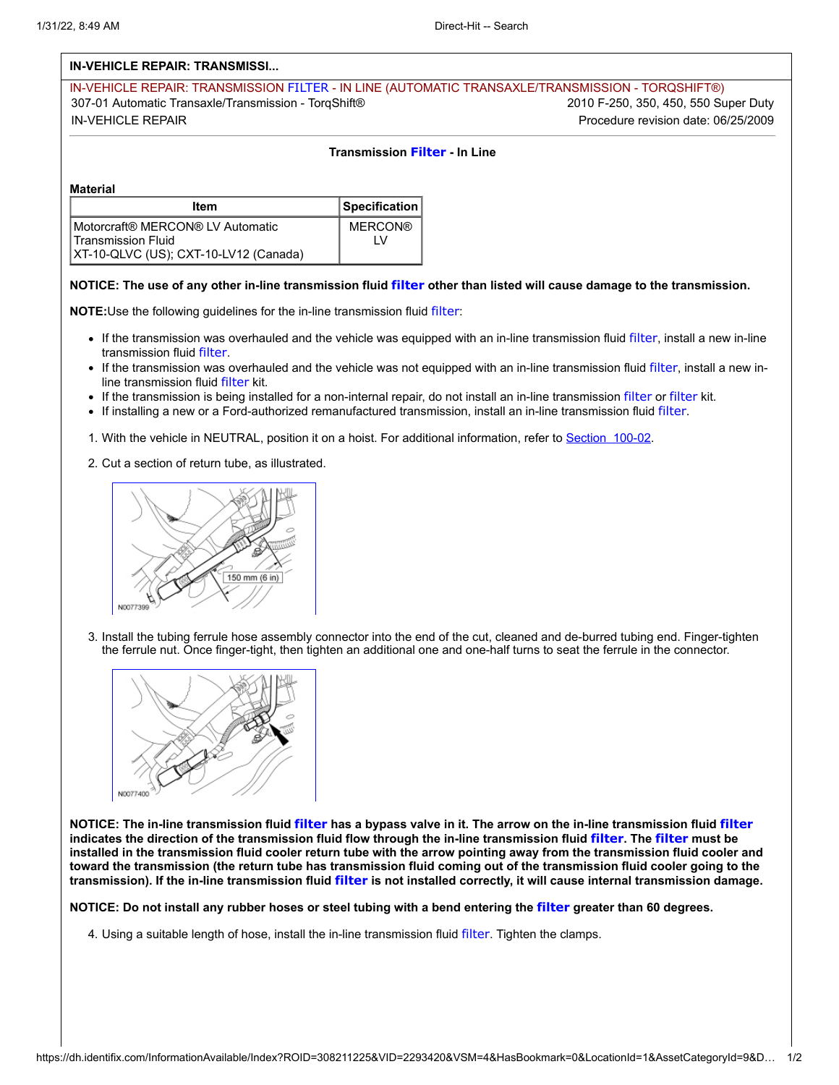## **IN-VEHICLE REPAIR: TRANSMISSI...**

IN-VEHICLE REPAIR: TRANSMISSION FILTER - IN LINE (AUTOMATIC TRANSAXLE/TRANSMISSION - TORQSHIFT®) 307-01 Automatic Transaxle/Transmission - TorqShift® 2010 F-250, 350, 450, 550 Super Duty IN-VEHICLE REPAIR Procedure revision date: 06/25/2009

## **Transmission Filter - In Line**

**Material**

| Item                                                                                            | Specification         |
|-------------------------------------------------------------------------------------------------|-----------------------|
| Motorcraft® MERCON® LV Automatic<br>Transmission Fluid<br>XT-10-QLVC (US); CXT-10-LV12 (Canada) | <b>MERCON®</b><br>l V |

## **NOTICE: The use of any other in-line transmission fluid filter other than listed will cause damage to the transmission.**

**NOTE:**Use the following guidelines for the in-line transmission fluid filter:

- If the transmission was overhauled and the vehicle was equipped with an in-line transmission fluid filter, install a new in-line transmission fluid filter.
- If the transmission was overhauled and the vehicle was not equipped with an in-line transmission fluid filter, install a new inline transmission fluid filter kit.
- If the transmission is being installed for a non-internal repair, do not install an in-line transmission filter or filter kit.
- If installing a new or a Ford-authorized remanufactured transmission, install an in-line transmission fluid filter.
- 1. With the vehicle in NEUTRAL, position it on a hoist. For additional information, refer to Section 100-02.
- 2. Cut a section of return tube, as illustrated.



3. Install the tubing ferrule hose assembly connector into the end of the cut, cleaned and de-burred tubing end. Finger-tighten the ferrule nut. Once finger-tight, then tighten an additional one and one-half turns to seat the ferrule in the connector.



**NOTICE: The in-line transmission fluid filter has a bypass valve in it. The arrow on the in-line transmission fluid filter indicates the direction of the transmission fluid flow through the in-line transmission fluid filter. The filter must be installed in the transmission fluid cooler return tube with the arrow pointing away from the transmission fluid cooler and toward the transmission (the return tube has transmission fluid coming out of the transmission fluid cooler going to the transmission). If the in-line transmission fluid filter is not installed correctly, it will cause internal transmission damage.**

**NOTICE: Do not install any rubber hoses or steel tubing with a bend entering the filter greater than 60 degrees.**

4. Using a suitable length of hose, install the in-line transmission fluid filter. Tighten the clamps.